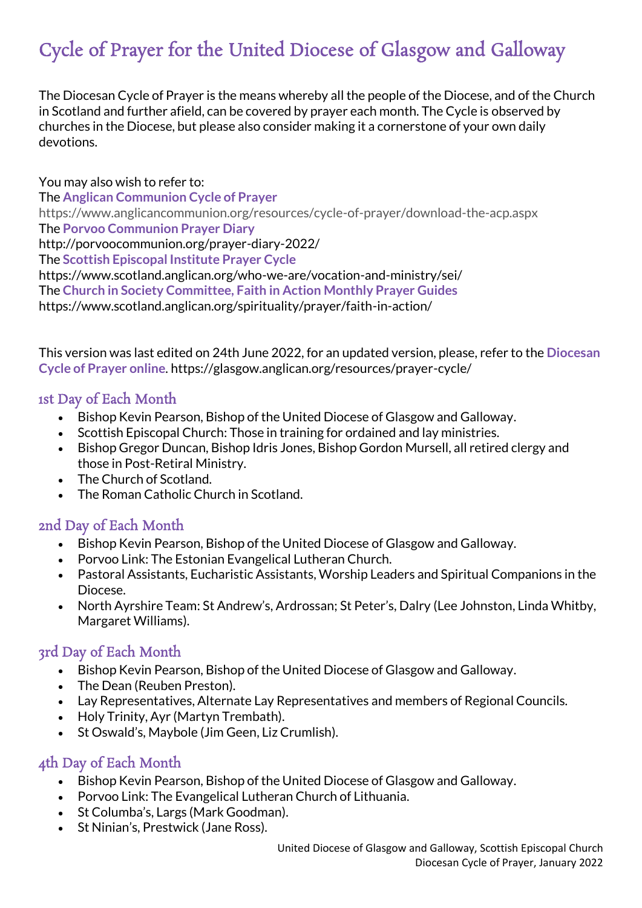# Cycle of Prayer for the United Diocese of Glasgow and Galloway

The Diocesan Cycle of Prayer is the means whereby all the people of the Diocese, and of the Church in Scotland and further afield, can be covered by prayer each month. The Cycle is observed by churches in the Diocese, but please also consider making it a cornerstone of your own daily devotions.

You may also wish to refer to: The **Anglican Communion [Cycle of Prayer](https://www.anglicancommunion.org/resources/cycle-of-prayer/download-the-acp.aspx)** https://www.anglicancommunion.org/resources/cycle-of-prayer/download-the-acp.aspx The **[Porvoo Communion Prayer Diary](http://porvoocommunion.org/prayer-diary-2022/)** http://porvoocommunion.org/prayer-diary-2022/ The **[Scottish Episcopal Institute](https://www.scotland.anglican.org/who-we-are/vocation-and-ministry/sei/) Prayer Cycle** https://www.scotland.anglican.org/who-we-are/vocation-and-ministry/sei/ The **[Church in Society Committee, Faith in Action Monthly Prayer Guides](https://www.scotland.anglican.org/spirituality/prayer/faith-in-action/)** https://www.scotland.anglican.org/spirituality/prayer/faith-in-action/

This version was last edited on 24th June 2022, for an updated version, please, refer to the **[Diocesan](https://glasgow.anglican.org/resources/prayer-cycle/)  [Cycle of Prayer online](https://glasgow.anglican.org/resources/prayer-cycle/)**. https://glasgow.anglican.org/resources/prayer-cycle/

#### 1st Day of Each Month

- Bishop Kevin Pearson, Bishop of the United Diocese of Glasgow and Galloway.
- Scottish Episcopal Church: Those in training for ordained and lay ministries.
- Bishop Gregor Duncan, Bishop Idris Jones, Bishop Gordon Mursell, all retired clergy and those in Post-Retiral Ministry.
- The Church of Scotland.
- The Roman Catholic Church in Scotland.

#### 2nd Day of Each Month

- Bishop Kevin Pearson, Bishop of the United Diocese of Glasgow and Galloway.
- Porvoo Link: The Estonian Evangelical Lutheran Church.
- Pastoral Assistants, Eucharistic Assistants, Worship Leaders and Spiritual Companions in the Diocese.
- North Ayrshire Team: St Andrew's, Ardrossan; St Peter's, Dalry (Lee Johnston, Linda Whitby, Margaret Williams).

#### 3rd Day of Each Month

- Bishop Kevin Pearson, Bishop of the United Diocese of Glasgow and Galloway.
- The Dean (Reuben Preston).
- Lay Representatives, Alternate Lay Representatives and members of Regional Councils.
- Holy Trinity, Ayr (Martyn Trembath).
- St Oswald's, Maybole (Jim Geen, Liz Crumlish).

- Bishop Kevin Pearson, Bishop of the United Diocese of Glasgow and Galloway.
- Porvoo Link: The Evangelical Lutheran Church of Lithuania.
- St Columba's, Largs (Mark Goodman).
- St Ninian's, Prestwick (Jane Ross).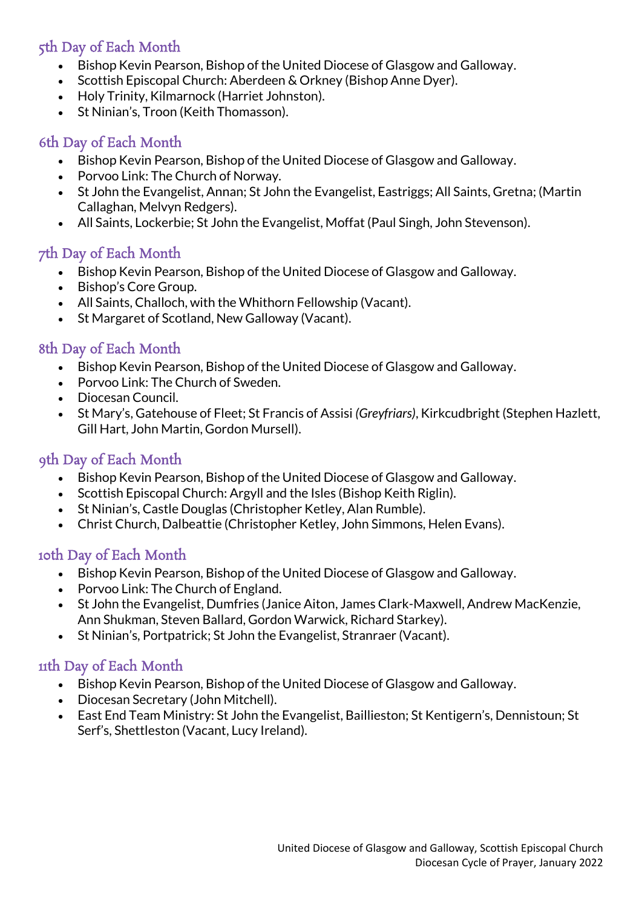- Bishop Kevin Pearson, Bishop of the United Diocese of Glasgow and Galloway.
- Scottish Episcopal Church: Aberdeen & Orkney (Bishop Anne Dyer).
- Holy Trinity, Kilmarnock (Harriet Johnston).
- St Ninian's, Troon (Keith Thomasson).

## 6th Day of Each Month

- Bishop Kevin Pearson, Bishop of the United Diocese of Glasgow and Galloway.
- Porvoo Link: The Church of Norway.
- St John the Evangelist, Annan; St John the Evangelist, Eastriggs; All Saints, Gretna; (Martin Callaghan, Melvyn Redgers).
- All Saints, Lockerbie; St John the Evangelist, Moffat (Paul Singh, John Stevenson).

## 7th Day of Each Month

- Bishop Kevin Pearson, Bishop of the United Diocese of Glasgow and Galloway.
- Bishop's Core Group.
- All Saints, Challoch, with the Whithorn Fellowship (Vacant).
- St Margaret of Scotland, New Galloway (Vacant).

## 8th Day of Each Month

- Bishop Kevin Pearson, Bishop of the United Diocese of Glasgow and Galloway.
- Porvoo Link: The Church of Sweden.
- Diocesan Council.
- St Mary's, Gatehouse of Fleet; St Francis of Assisi *(Greyfriars)*, Kirkcudbright (Stephen Hazlett, Gill Hart, John Martin, Gordon Mursell).

## 9th Day of Each Month

- Bishop Kevin Pearson, Bishop of the United Diocese of Glasgow and Galloway.
- Scottish Episcopal Church: Argyll and the Isles (Bishop Keith Riglin).
- St Ninian's, Castle Douglas (Christopher Ketley, Alan Rumble).
- Christ Church, Dalbeattie (Christopher Ketley, John Simmons, Helen Evans).

# 10th Day of Each Month

- Bishop Kevin Pearson, Bishop of the United Diocese of Glasgow and Galloway.
- Porvoo Link: The Church of England.
- St John the Evangelist, Dumfries (Janice Aiton, James Clark-Maxwell, Andrew MacKenzie, Ann Shukman, Steven Ballard, Gordon Warwick, Richard Starkey).
- St Ninian's, Portpatrick; St John the Evangelist, Stranraer (Vacant).

- Bishop Kevin Pearson, Bishop of the United Diocese of Glasgow and Galloway.
- Diocesan Secretary (John Mitchell).
- East End Team Ministry: St John the Evangelist, Baillieston; St Kentigern's, Dennistoun; St Serf's, Shettleston (Vacant, Lucy Ireland).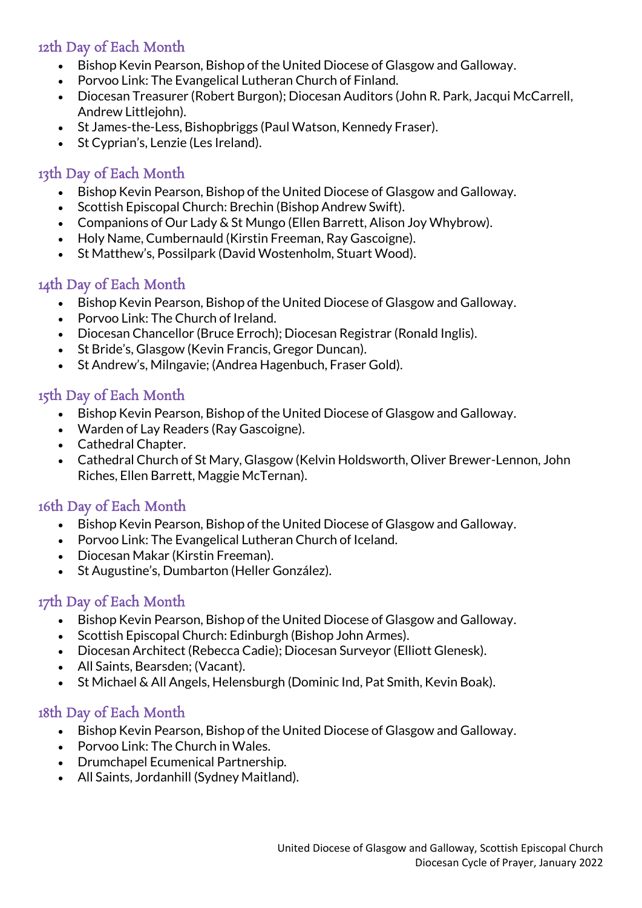- Bishop Kevin Pearson, Bishop of the United Diocese of Glasgow and Galloway.
- Porvoo Link: The Evangelical Lutheran Church of Finland.
- Diocesan Treasurer (Robert Burgon); Diocesan Auditors (John R. Park, Jacqui McCarrell, Andrew Littlejohn).
- St James-the-Less, Bishopbriggs (Paul Watson, Kennedy Fraser).
- St Cyprian's, Lenzie (Les Ireland).

# 13th Day of Each Month

- Bishop Kevin Pearson, Bishop of the United Diocese of Glasgow and Galloway.
- Scottish Episcopal Church: Brechin (Bishop Andrew Swift).
- Companions of Our Lady & St Mungo (Ellen Barrett, Alison Joy Whybrow).
- Holy Name, Cumbernauld (Kirstin Freeman, Ray Gascoigne).
- St Matthew's, Possilpark (David Wostenholm, Stuart Wood).

## 14th Day of Each Month

- Bishop Kevin Pearson, Bishop of the United Diocese of Glasgow and Galloway.
- Porvoo Link: The Church of Ireland.
- Diocesan Chancellor (Bruce Erroch); Diocesan Registrar (Ronald Inglis).
- St Bride's, Glasgow (Kevin Francis, Gregor Duncan).
- St Andrew's, Milngavie; (Andrea Hagenbuch, Fraser Gold).

## 15th Day of Each Month

- Bishop Kevin Pearson, Bishop of the United Diocese of Glasgow and Galloway.
- Warden of Lay Readers (Ray Gascoigne).
- Cathedral Chapter.
- Cathedral Church of St Mary, Glasgow (Kelvin Holdsworth, Oliver Brewer-Lennon, John Riches, Ellen Barrett, Maggie McTernan).

#### 16th Day of Each Month

- Bishop Kevin Pearson, Bishop of the United Diocese of Glasgow and Galloway.
- Porvoo Link: The Evangelical Lutheran Church of Iceland.
- Diocesan Makar (Kirstin Freeman).
- St Augustine's, Dumbarton (Heller González).

## 17th Day of Each Month

- Bishop Kevin Pearson, Bishop of the United Diocese of Glasgow and Galloway.
- Scottish Episcopal Church: Edinburgh (Bishop John Armes).
- Diocesan Architect (Rebecca Cadie); Diocesan Surveyor (Elliott Glenesk).
- All Saints, Bearsden; (Vacant).
- St Michael & All Angels, Helensburgh (Dominic Ind, Pat Smith, Kevin Boak).

- Bishop Kevin Pearson, Bishop of the United Diocese of Glasgow and Galloway.
- Porvoo Link: The Church in Wales.
- Drumchapel Ecumenical Partnership.
- All Saints, Jordanhill (Sydney Maitland).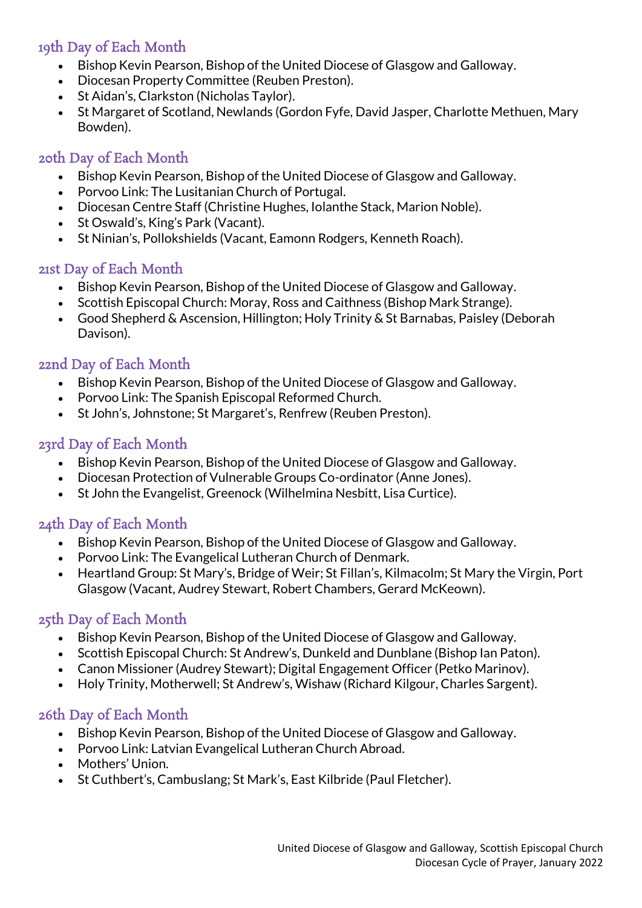- Bishop Kevin Pearson, Bishop of the United Diocese of Glasgow and Galloway.
- Diocesan Property Committee (Reuben Preston).
- St Aidan's, Clarkston (Nicholas Taylor).
- St Margaret of Scotland, Newlands (Gordon Fyfe, David Jasper, Charlotte Methuen, Mary Bowden).

# 20th Day of Each Month

- Bishop Kevin Pearson, Bishop of the United Diocese of Glasgow and Galloway.
- Porvoo Link: The Lusitanian Church of Portugal.
- Diocesan Centre Staff (Christine Hughes, Iolanthe Stack, Marion Noble).
- St Oswald's, King's Park (Vacant).
- St Ninian's, Pollokshields (Vacant, Eamonn Rodgers, Kenneth Roach).

#### 21st Day of Each Month

- Bishop Kevin Pearson, Bishop of the United Diocese of Glasgow and Galloway.
- Scottish Episcopal Church: Moray, Ross and Caithness (Bishop Mark Strange).
- Good Shepherd & Ascension, Hillington; Holy Trinity & St Barnabas, Paisley (Deborah Davison).

#### 22nd Day of Each Month

- Bishop Kevin Pearson, Bishop of the United Diocese of Glasgow and Galloway.
- Porvoo Link: The Spanish Episcopal Reformed Church.
- St John's, Johnstone; St Margaret's, Renfrew (Reuben Preston).

## 23rd Day of Each Month

- Bishop Kevin Pearson, Bishop of the United Diocese of Glasgow and Galloway.
- Diocesan Protection of Vulnerable Groups Co-ordinator (Anne Jones).
- St John the Evangelist, Greenock (Wilhelmina Nesbitt, Lisa Curtice).

#### 24th Day of Each Month

- Bishop Kevin Pearson, Bishop of the United Diocese of Glasgow and Galloway.
- Porvoo Link: The Evangelical Lutheran Church of Denmark.
- Heartland Group: St Mary's, Bridge of Weir; St Fillan's, Kilmacolm; St Mary the Virgin, Port Glasgow (Vacant, Audrey Stewart, Robert Chambers, Gerard McKeown).

#### 25th Day of Each Month

- Bishop Kevin Pearson, Bishop of the United Diocese of Glasgow and Galloway.
- Scottish Episcopal Church: St Andrew's, Dunkeld and Dunblane (Bishop Ian Paton).
- Canon Missioner (Audrey Stewart); Digital Engagement Officer (Petko Marinov).
- Holy Trinity, Motherwell; St Andrew's, Wishaw (Richard Kilgour, Charles Sargent).

- Bishop Kevin Pearson, Bishop of the United Diocese of Glasgow and Galloway.
- Porvoo Link: Latvian Evangelical Lutheran Church Abroad.
- Mothers' Union.
- St Cuthbert's, Cambuslang; St Mark's, East Kilbride (Paul Fletcher).